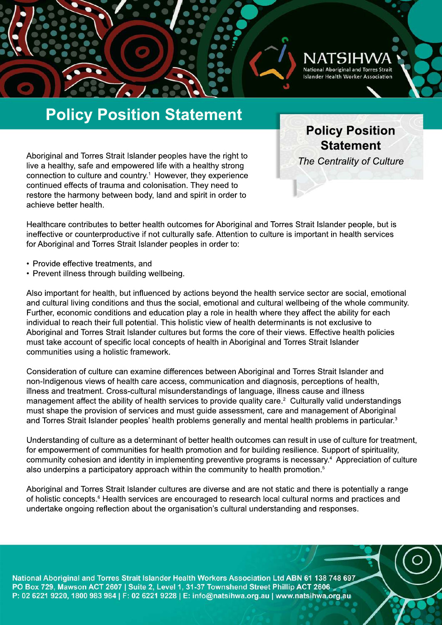

**Policy Position Statement**

*The Centrality of Culture* 

# **Policy Position Statement**

Aboriginal and Torres Strait Islander peoples have the right to live a healthy, safe and empowered life with a healthy strong connection to culture and country.<sup>1</sup> However, they experience continued effects of trauma and colonisation. They need to restore the harmony between body, land and spirit in order to achieve better health.

Healthcare contributes to better health outcomes for Aboriginal and Torres Strait Islander people, but is ineffective or counterproductive if not culturally safe. Attention to culture is important in health services for Aboriginal and Torres Strait Islander peoples in order to:

- Provide effective treatments, and
- Prevent illness through building wellbeing.

Also important for health, but influenced by actions beyond the health service sector are social, emotional and cultural living conditions and thus the social, emotional and cultural wellbeing of the whole community. Further, economic conditions and education play a role in health where they affect the ability for each individual to reach their full potential. This holistic view of health determinants is not exclusive to Aboriginal and Torres Strait Islander cultures but forms the core of their views. Effective health policies must take account of specific local concepts of health in Aboriginal and Torres Strait Islander communities using a holistic framework.

Consideration of culture can examine differences between Aboriginal and Torres Strait Islander and non-Indigenous views of health care access, communication and diagnosis, perceptions of health, illness and treatment. Cross-cultural misunderstandings of language, illness cause and illness management affect the ability of health services to provide quality care.<sup>2</sup> Culturally valid understandings must shape the provision of services and must guide assessment, care and management of Aboriginal and Torres Strait Islander peoples' health problems generally and mental health problems in particular.<sup>3</sup>

Understanding of culture as a determinant of better health outcomes can result in use of culture for treatment, for empowerment of communities for health promotion and for building resilience. Support of spirituality, community cohesion and identity in implementing preventive programs is necessary.<sup>4</sup> Appreciation of culture also underpins a participatory approach within the community to health promotion.<sup>5</sup>

Aboriginal and Torres Strait Islander cultures are diverse and are not static and there is potentially a range of holistic concepts.<sup>6</sup> Health services are encouraged to research local cultural norms and practices and undertake ongoing reflection about the organisation's cultural understanding and responses.

National Aboriginal and Torres Strait Islander Health Workers Association Ltd ABN 61 138 748 697 PO Box 729, Mawson ACT 2607 | Suite 2, Level 1, 31-37 Townshend Street Phillip ACT 2606 P: 02 6221 9220, 1800 983 984 | F: 02 6221 9228 | E: info@natsihwa.org.au | www.natsihwa.org.au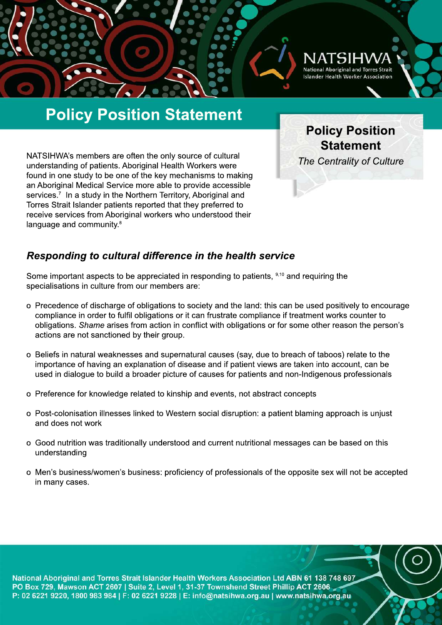

# **Policy Position Statement**

NATSIHWA's members are often the only source of cultural understanding of patients. Aboriginal Health Workers were found in one study to be one of the key mechanisms to making an Aboriginal Medical Service more able to provide accessible services.<sup>7</sup> In a study in the Northern Territory, Aboriginal and Torres Strait Islander patients reported that they preferred to receive services from Aboriginal workers who understood their language and community.<sup>8</sup>

**Policy Position Statement**

**The Centrality of Culture** 

### **Responding to cultural difference in the health service**

Some important aspects to be appreciated in responding to patients, 9,10 and requiring the specialisations in culture from our members are:

- o Precedence of discharge of obligations to society and the land: this can be used positively to encourage compliance in order to fulfil obligations or it can frustrate compliance if treatment works counter to obligations. *Shame* arises from action in conflict with obligations or for some other reason the person's actions are not sanctioned by their group.
- o Beliefs in natural weaknesses and supernatural causes (say, due to breach of taboos) relate to the importance of having an explanation of disease and if patient views are taken into account, can be used in dialogue to build a broader picture of causes for patients and non-Indigenous professionals
- o Preference for knowledge related to kinship and events, not abstract concepts
- o Post-colonisation illnesses linked to Western social disruption: a patient blaming approach is unjust and does not work
- o Good nutrition was traditionally understood and current nutritional messages can be based on this understanding
- o Men's business/women's business: proficiency of professionals of the opposite sex will not be accepted in many cases.

National Aboriginal and Torres Strait Islander Health Workers Association Ltd ABN 61 138 748 697 PO Box 729, Mawson ACT 2607 | Suite 2, Level 1, 31-37 Townshend Street Phillip ACT 2606 P: 02 6221 9220, 1800 983 984 | F: 02 6221 9228 | E: info@natsihwa.org.au | www.natsihwa.org.au